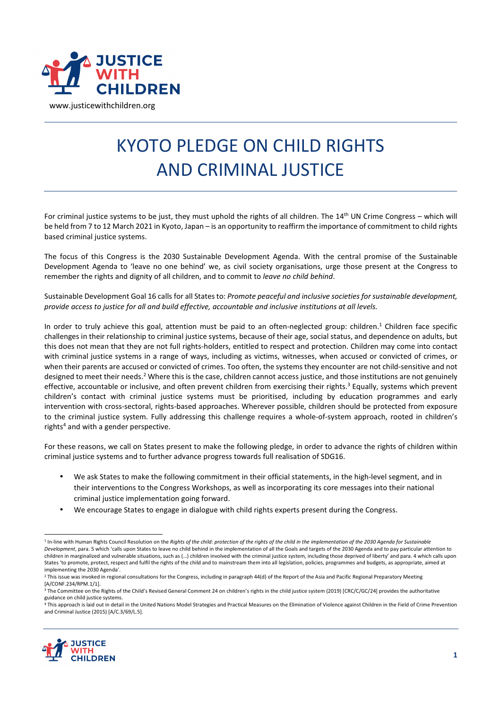

## KYOTO PLEDGE ON CHILD RIGHTS AND CRIMINAL JUSTICE

For criminal justice systems to be just, they must uphold the rights of all children. The  $14<sup>th</sup>$  UN Crime Congress – which will be held from 7 to 12 March 2021 in Kyoto, Japan – is an opportunity to reaffirm the importance of commitment to child rights based criminal justice systems.

The focus of this Congress is the 2030 Sustainable Development Agenda. With the central promise of the Sustainable Development Agenda to 'leave no one behind' we, as civil society organisations, urge those present at the Congress to remember the rights and dignity of all children, and to commit to *leave no child behind*.

Sustainable Development Goal 16 calls for all States to: *Promote peaceful and inclusive societies for sustainable development, provide access to justice for all and build effective, accountable and inclusive institutions at all levels.* 

In order to truly achieve this goal, attention must be paid to an often-neglected group: children.<sup>1</sup> Children face specific challenges in their relationship to criminal justice systems, because of their age, social status, and dependence on adults, but this does not mean that they are not full rights-holders, entitled to respect and protection. Children may come into contact with criminal justice systems in a range of ways, including as victims, witnesses, when accused or convicted of crimes, or when their parents are accused or convicted of crimes. Too often, the systems they encounter are not child-sensitive and not designed to meet their needs.<sup>2</sup> Where this is the case, children cannot access justice, and those institutions are not genuinely effective, accountable or inclusive, and often prevent children from exercising their rights.<sup>3</sup> Equally, systems which prevent children's contact with criminal justice systems must be prioritised, including by education programmes and early intervention with cross-sectoral, rights-based approaches. Wherever possible, children should be protected from exposure to the criminal justice system. Fully addressing this challenge requires a whole-of-system approach, rooted in children's rights<sup>4</sup> and with a gender perspective.

For these reasons, we call on States present to make the following pledge, in order to advance the rights of children within criminal justice systems and to further advance progress towards full realisation of SDG16.

- We ask States to make the following commitment in their official statements, in the high-level segment, and in their interventions to the Congress Workshops, as well as incorporating its core messages into their national criminal justice implementation going forward.
- We encourage States to engage in dialogue with child rights experts present during the Congress.

<sup>4</sup> This approach is laid out in detail in the United Nations Model Strategies and Practical Measures on the Elimination of Violence against Children in the Field of Crime Prevention and Criminal Justice (2015) [A/C.3/69/L.5].



<sup>&</sup>lt;sup>1</sup> In-line with Human Rights Council Resolution on the Rights of the child: protection of the rights of the child in the implementation of the 2030 Agenda for Sustainable *Development*, para. 5 which 'calls upon States to leave no child behind in the implementation of all the Goals and targets of the 2030 Agenda and to pay particular attention to children in marginalized and vulnerable situations, such as (…) children involved with the criminal justice system, including those deprived of liberty' and para. 4 which calls upon States 'to promote, protect, respect and fulfil the rights of the child and to mainstream them into all legislation, policies, programmes and budgets, as appropriate, aimed at implementing the 2030 Agenda'.

 $^2$  This issue was invoked in regional consultations for the Congress, including in paragraph 44(d) of the Report of the Asia and Pacific Regional Preparatory Meeting [A/CONF.234/RPM.1/1].

<sup>&</sup>lt;sup>3</sup> The Committee on the Rights of the Child's Revised General Comment 24 on children's rights in the child justice system (2019) [CRC/C/GC/24] provides the authoritative guidance on child justice systems.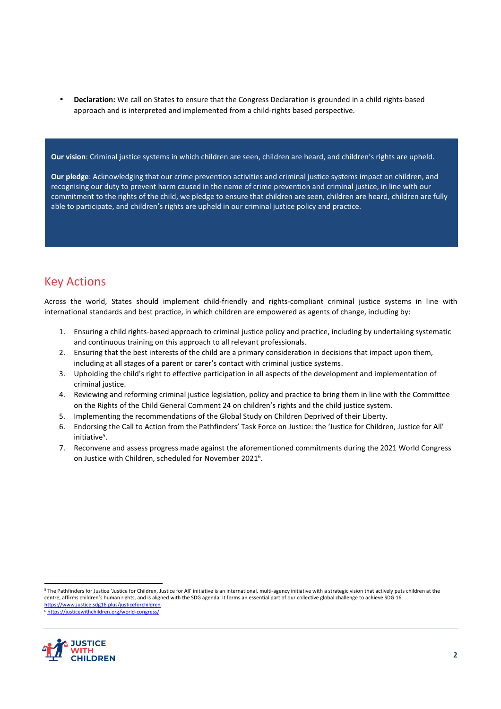• **Declaration:** We call on States to ensure that the Congress Declaration is grounded in a child rights-based approach and is interpreted and implemented from a child-rights based perspective.

**Our vision**: Criminal justice systems in which children are seen, children are heard, and children's rights are upheld.

**Our pledge**: Acknowledging that our crime prevention activities and criminal justice systems impact on children, and recognising our duty to prevent harm caused in the name of crime prevention and criminal justice, in line with our commitment to the rights of the child, we pledge to ensure that children are seen, children are heard, children are fully able to participate, and children's rights are upheld in our criminal justice policy and practice.

## Key Actions

Across the world, States should implement child-friendly and rights-compliant criminal justice systems in line with international standards and best practice, in which children are empowered as agents of change, including by:

- 1. Ensuring a child rights-based approach to criminal justice policy and practice, including by undertaking systematic and continuous training on this approach to all relevant professionals.
- 2. Ensuring that the best interests of the child are a primary consideration in decisions that impact upon them, including at all stages of a parent or carer's contact with criminal justice systems.
- 3. Upholding the child's right to effective participation in all aspects of the development and implementation of criminal justice.
- 4. Reviewing and reforming criminal justice legislation, policy and practice to bring them in line with the Committee on the Rights of the Child General Comment 24 on children's rights and the child justice system.
- 5. Implementing the recommendations of the Global Study on Children Deprived of their Liberty.
- 6. Endorsing the Call to Action from the Pathfinders' Task Force on Justice: the 'Justice for Children, Justice for All' initiative<sup>5</sup>.
- 7. Reconvene and assess progress made against the aforementioned commitments during the 2021 World Congress on Justice with Children, scheduled for November 2021<sup>6</sup>.

<sup>&</sup>lt;sup>5</sup> The Pathfinders for Justice 'Justice for Children, Justice for All' initiative is an international, multi-agency initiative with a strategic vision that actively puts children at the centre, affirms children's human rights, and is aligned with the SDG agenda. It forms an essential part of our collective global challenge to achieve SDG 16. https://www.justice.sdg16.plus/justiceforchildren <sup>6</sup> https://justicewithchildren.org/world-congress/